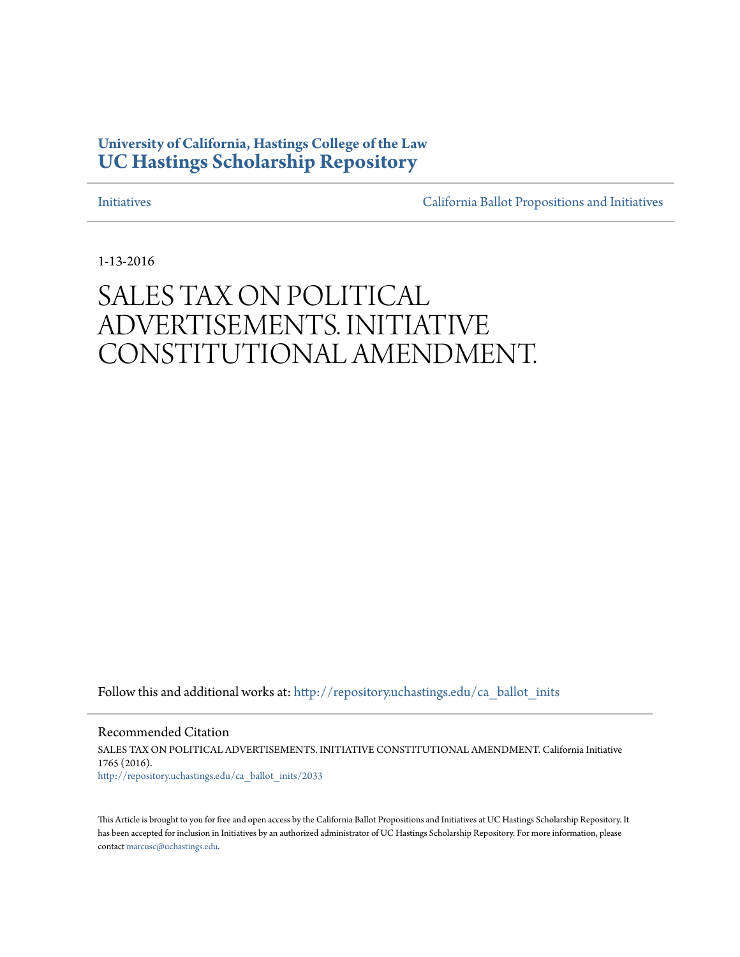## **University of California, Hastings College of the Law [UC Hastings Scholarship Repository](http://repository.uchastings.edu?utm_source=repository.uchastings.edu%2Fca_ballot_inits%2F2033&utm_medium=PDF&utm_campaign=PDFCoverPages)**

[Initiatives](http://repository.uchastings.edu/ca_ballot_inits?utm_source=repository.uchastings.edu%2Fca_ballot_inits%2F2033&utm_medium=PDF&utm_campaign=PDFCoverPages) [California Ballot Propositions and Initiatives](http://repository.uchastings.edu/ca_ballots?utm_source=repository.uchastings.edu%2Fca_ballot_inits%2F2033&utm_medium=PDF&utm_campaign=PDFCoverPages)

1-13-2016

## SALES TAX ON POLITICAL ADVERTISEMENTS. INITIATIVE CONSTITUTIONAL AMENDMENT.

Follow this and additional works at: [http://repository.uchastings.edu/ca\\_ballot\\_inits](http://repository.uchastings.edu/ca_ballot_inits?utm_source=repository.uchastings.edu%2Fca_ballot_inits%2F2033&utm_medium=PDF&utm_campaign=PDFCoverPages)

Recommended Citation SALES TAX ON POLITICAL ADVERTISEMENTS. INITIATIVE CONSTITUTIONAL AMENDMENT. California Initiative 1765 (2016). [http://repository.uchastings.edu/ca\\_ballot\\_inits/2033](http://repository.uchastings.edu/ca_ballot_inits/2033?utm_source=repository.uchastings.edu%2Fca_ballot_inits%2F2033&utm_medium=PDF&utm_campaign=PDFCoverPages)

This Article is brought to you for free and open access by the California Ballot Propositions and Initiatives at UC Hastings Scholarship Repository. It has been accepted for inclusion in Initiatives by an authorized administrator of UC Hastings Scholarship Repository. For more information, please contact [marcusc@uchastings.edu](mailto:marcusc@uchastings.edu).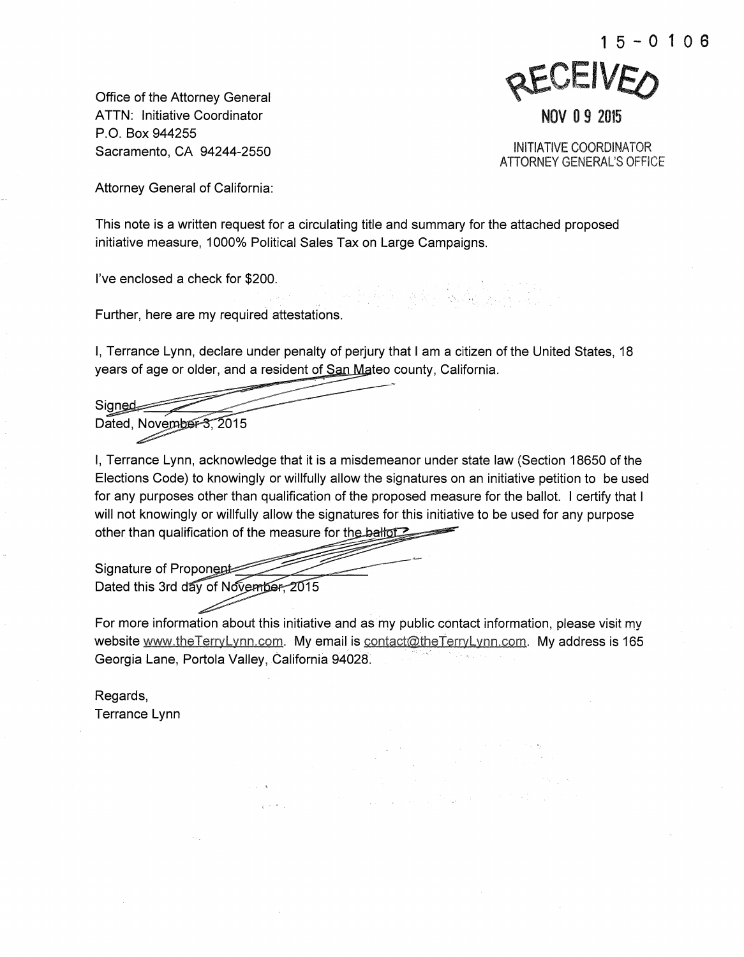

Office of the Attorney General ATTN: Initiative Coordinator P. 0. Box 944255 Sacramento, CA 94244-2550

INITIATIVE COORDINATOR ATTORNEY GENERAL'S OFFICE

Attorney General of California:

This note is a written request for a circulating title and summary for the attached proposed initiative measure, 1000% Political Sales Tax on Large Campaigns.

I've enclosed a check for \$200.

Further, here are my required attestations.

I, Terrance Lynn, declare under penalty of perjury that I am a citizen of the United States, 18 years of age or older, and a resident of San Mateo county, California.

Signed

Dated, November 3, 2015

I, Terrance Lynn, acknowledge that it is a misdemeanor under state law (Section 18650 of the Elections Code) to knowingly or willfully allow the signatures on an initiative petition to be used for any purposes other than qualification of the proposed measure for the ballot. I certify that I will not knowingly or willfully allow the signatures for this initiative to be used for any purpose other than qualification of the measure for the ballored

Signature of Proponent Dated this 3rd day of November, 2015

For more information about this initiative and as my public contact information, please visit my website www.theTerryLynn.com. My email is contact@theTerryLynn.com. My address is 165 Georgia Lane, Portola Valley, California 94028.

Regards, Terrance Lynn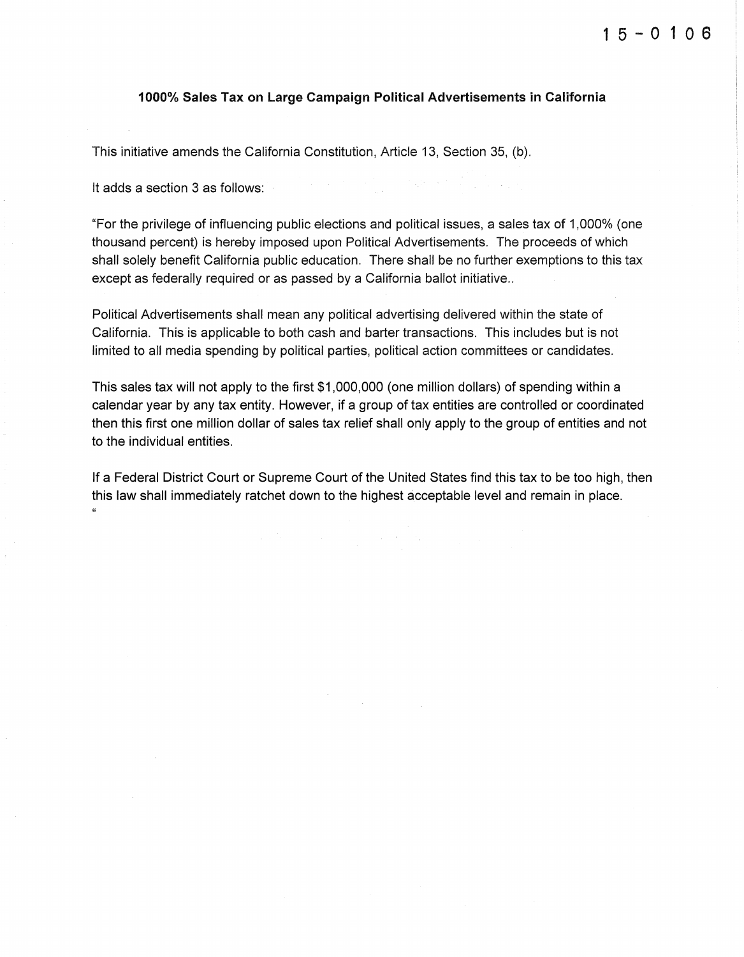## 1000% Sales Tax on Large Campaign Political Advertisements in California

This initiative amends the California Constitution, Article 13, Section 35, (b).

It adds a section 3 as follows:

"For the privilege of influencing public elections and political issues, a sales tax of 1,000% (one thousand percent) is hereby imposed upon Political Advertisements. The proceeds of which shall solely benefit California public education. There shall be no further exemptions to this tax except as federally required or as passed by a California ballot initiative..

Political Advertisements shall mean any political advertising delivered within the state of California. This is applicable to both cash and barter transactions. This includes but is not limited to all media spending by political parties, political action committees or candidates.

This sales tax will not apply to the first \$1,000,000 (one million dollars) of spending within a calendar year by any tax entity. However, if a group of tax entities are controlled or coordinated then this first one million dollar of sales tax relief shall only apply to the group of entities and not to the individual entities.

If a Federal District Court or Supreme Court of the United States find this tax to be too high, then this law shall immediately ratchet down to the highest acceptable level and remain in place.